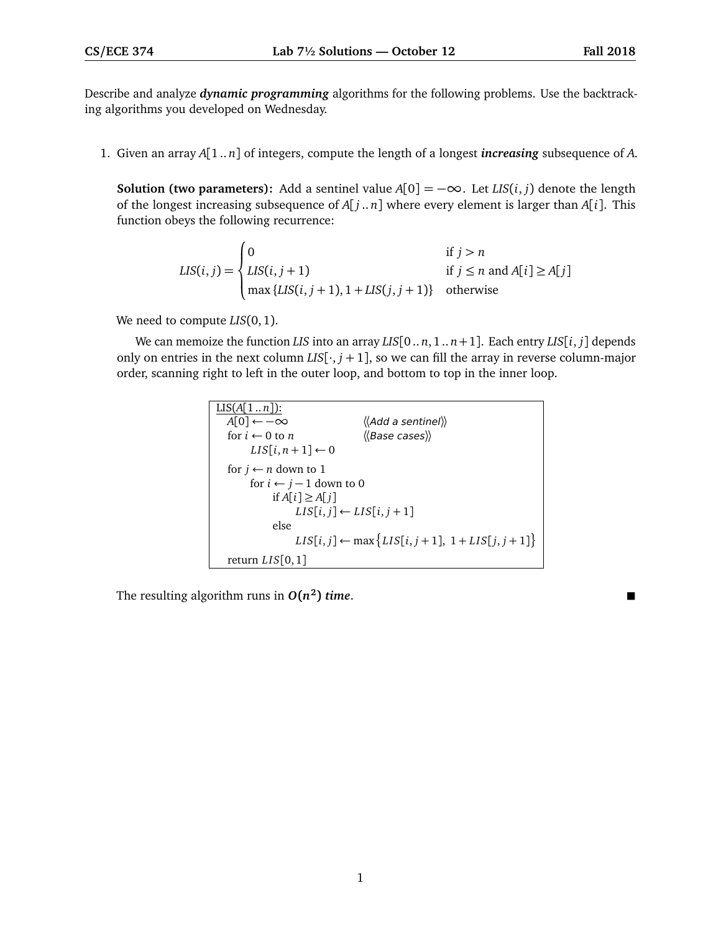Describe and analyze *dynamic programming* algorithms for the following problems. Use the backtracking algorithms you developed on Wednesday.

1. Given an array *A*[1 .. *n*] of integers, compute the length of a longest *increasing* subsequence of *A*.

**Solution (two parameters):** Add a sentinel value  $A[0] = -\infty$ . Let *LIS*(*i*, *j*) denote the length of the longest increasing subsequence of *A*[ *j* .. *n*] where every element is larger than *A*[*i*]. This function obeys the following recurrence:

$$
LIS(i, j) = \begin{cases} 0 & \text{if } j > n \\ LIS(i, j + 1) & \text{if } j \le n \text{ and } A[i] \ge A[j] \\ \max \{LIS(i, j + 1), 1 + LIS(j, j + 1)\} & \text{otherwise} \end{cases}
$$

We need to compute *LIS*(0, 1).

We can memoize the function *LIS* into an array *LIS*[0 .. *n*, 1 .. *n*+1]. Each entry *LIS*[*i*, *j*] depends only on entries in the next column  $LIS[\cdot, j + 1]$ , so we can fill the array in reverse column-major order, scanning right to left in the outer loop, and bottom to top in the inner loop.

| $LIS(A[1n])$ :                     |                                                              |
|------------------------------------|--------------------------------------------------------------|
| $A[0] \leftarrow -\infty$          | $\langle \langle Add \ a \ sentinel \rangle \rangle$         |
| for $i \leftarrow 0$ to n          | $\langle$ (Base cases))                                      |
| $LIS[i, n+1] \leftarrow 0$         |                                                              |
| for $i \leftarrow n$ down to 1     |                                                              |
| for $i \leftarrow j - 1$ down to 0 |                                                              |
| if $A[i] \geq A[i]$                |                                                              |
| $LIS[i, j] \leftarrow LIS[i, j+1]$ |                                                              |
| else                               |                                                              |
|                                    | $LIS[i, j] \leftarrow \max \{LIS[i, j+1], 1 + LIS[j, j+1]\}$ |
| return $LIS[0,1]$                  |                                                              |

The resulting algorithm runs in  $O(n^2)$ **)** *time*.

1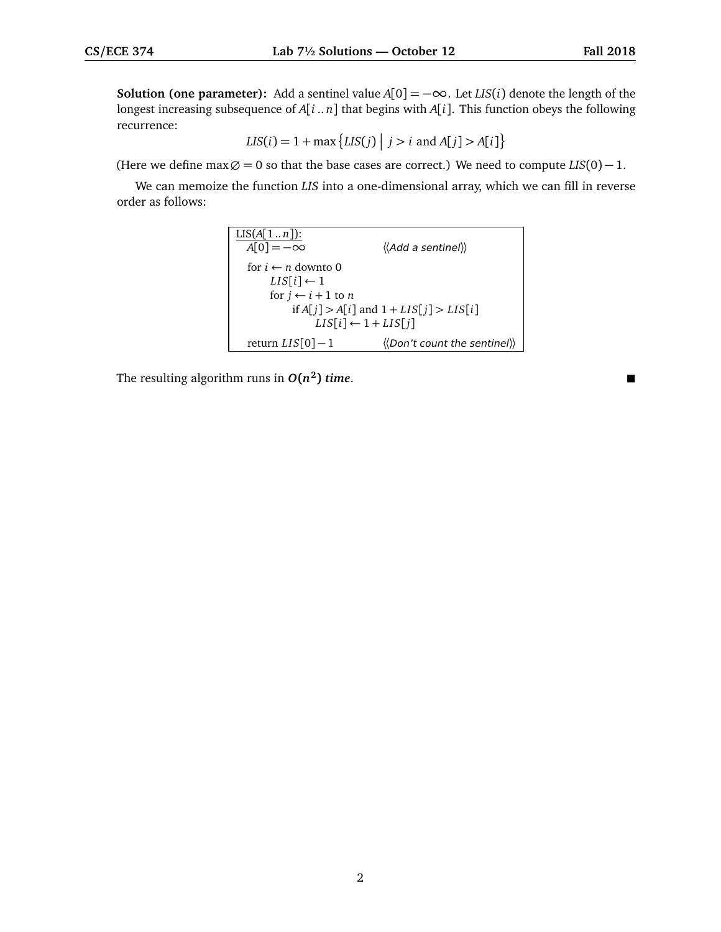**Solution (one parameter):** Add a sentinel value  $A[0] = -\infty$ . Let *LIS*(*i*) denote the length of the longest increasing subsequence of *A*[*i* .. *n*] that begins with *A*[*i*]. This function obeys the following recurrence:

$$
LIS(i) = 1 + \max \left\{ LIS(j) \mid j > i \text{ and } A[j] > A[i] \right\}
$$

(Here we define max $\emptyset = 0$  so that the base cases are correct.) We need to compute *LIS*(0) – 1.

We can memoize the function *LIS* into a one-dimensional array, which we can fill in reverse order as follows:



The resulting algorithm runs in  $O(n^2)$ **)** *time*.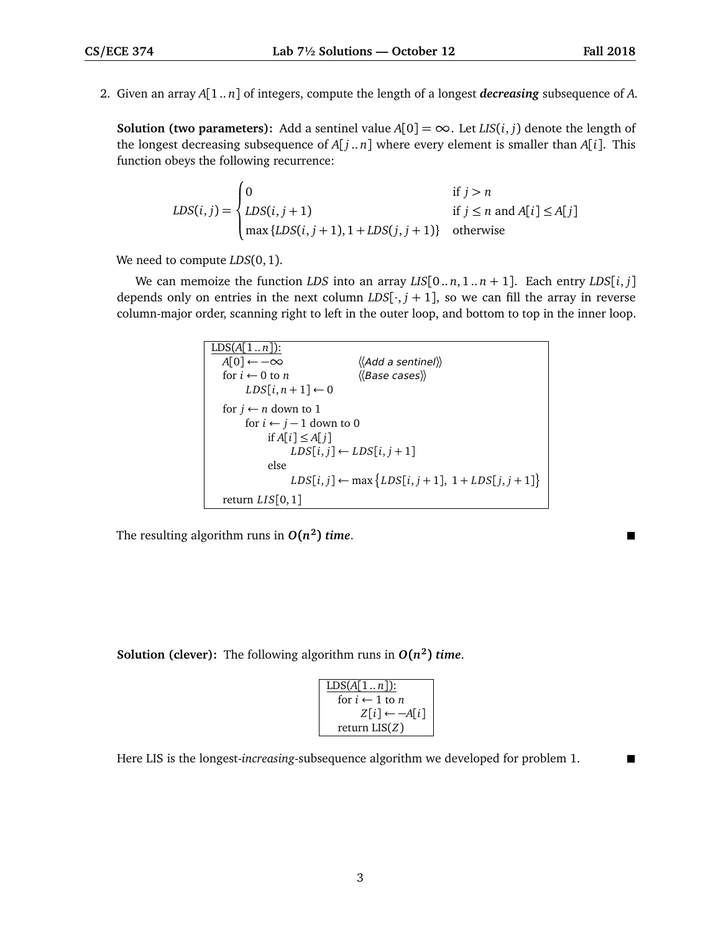2. Given an array *A*[1 .. *n*] of integers, compute the length of a longest *decreasing* subsequence of *A*.

**Solution (two parameters):** Add a sentinel value  $A[0] = \infty$ . Let *LIS*(*i*, *j*) denote the length of the longest decreasing subsequence of *A*[ *j* .. *n*] where every element is smaller than *A*[*i*]. This function obeys the following recurrence:

$$
LDS(i, j) = \begin{cases} 0 & \text{if } j > n \\ LDS(i, j + 1) & \text{if } j \le n \text{ and } A[i] \le A[j] \\ \max\{LDS(i, j + 1), 1 + LDS(j, j + 1)\} & \text{otherwise} \end{cases}
$$

We need to compute *LDS*(0, 1).

We can memoize the function *LDS* into an array  $LIS[0..n,1..n+1]$ . Each entry  $LDS[i, j]$ depends only on entries in the next column  $LDS[\cdot, j + 1]$ , so we can fill the array in reverse column-major order, scanning right to left in the outer loop, and bottom to top in the inner loop.

| $LDS(A[1n])$ :<br>$A[0] \leftarrow -\infty$<br>for $i \leftarrow 0$ to n<br>$LDS[i, n+1] \leftarrow 0$ | $\langle \langle Add \ a \ sentinel \rangle \rangle$<br>$\langle$ (Base cases)) |
|--------------------------------------------------------------------------------------------------------|---------------------------------------------------------------------------------|
| for $i \leftarrow n$ down to 1<br>for $i \leftarrow j - 1$ down to 0<br>if $A[i] \leq A[i]$            |                                                                                 |
| $LDS[i, j] \leftarrow LDS[i, j+1]$                                                                     |                                                                                 |
| else                                                                                                   |                                                                                 |
|                                                                                                        | $LDS[i, j] \leftarrow \max \{LDS[i, j+1], 1 + LDS[j, j+1]\}$                    |
| return $LIS[0,1]$                                                                                      |                                                                                 |

The resulting algorithm runs in  $O(n^2)$ **)** *time*.

**Solution (clever):** The following algorithm runs in  $O(n^2)$  *time.* 

| $LDS(A[1n])$ :            |  |
|---------------------------|--|
| for $i \leftarrow 1$ to n |  |
| $Z[i] \leftarrow -A[i]$   |  |
| return $LIS(Z)$           |  |

Here LIS is the longest-*increasing*-subsequence algorithm we developed for problem 1.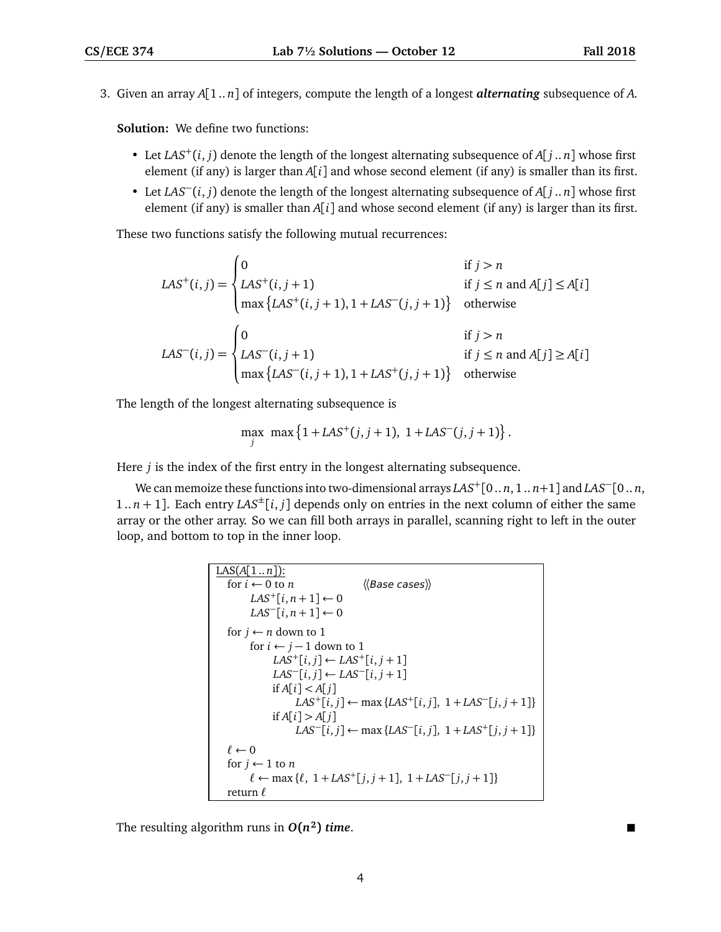3. Given an array *A*[1 .. *n*] of integers, compute the length of a longest *alternating* subsequence of *A*.

**Solution:** We define two functions:

- Let  $LAS^+(i, j)$  denote the length of the longest alternating subsequence of  $A[j..n]$  whose first element (if any) is larger than  $A[i]$  and whose second element (if any) is smaller than its first.
- Let *LAS*−(*i*, *<sup>j</sup>*) denote the length of the longest alternating subsequence of *<sup>A</sup>*[ *<sup>j</sup>* .. *<sup>n</sup>*] whose first element (if any) is smaller than  $A[i]$  and whose second element (if any) is larger than its first.

These two functions satisfy the following mutual recurrences:

$$
LAS^{+}(i, j) = \begin{cases} 0 & \text{if } j > n \\ LAS^{+}(i, j + 1) & \text{if } j \le n \text{ and } A[j] \le A[i] \\ \max \{LAS^{+}(i, j + 1), 1 + LAS^{-}(j, j + 1) \} & \text{otherwise} \end{cases}
$$
  

$$
LAS^{-}(i, j) = \begin{cases} 0 & \text{if } j > n \\ LAS^{-}(i, j + 1) & \text{if } j \le n \text{ and } A[j] \ge A[i] \\ \max \{LAS^{-}(i, j + 1), 1 + LAS^{+}(j, j + 1) \} & \text{otherwise} \end{cases}
$$

The length of the longest alternating subsequence is

$$
\max_{j} \max\left\{1 + LAS^+(j, j+1), \ 1 + LAS^-(j, j+1)\right\}.
$$

Here *j* is the index of the first entry in the longest alternating subsequence.

We can memoize these functions into two-dimensional arrays *LAS*+[<sup>0</sup> .. *<sup>n</sup>*, <sup>1</sup> .. *<sup>n</sup>*+1] and *LAS*−[<sup>0</sup> .. *<sup>n</sup>*, 1..  $n + 1$ ]. Each entry *LAS<sup>* $\pm$ *</sup>*[*i*, *j*] depends only on entries in the next column of either the same array or the other array. So we can fill both arrays in parallel, scanning right to left in the outer loop, and bottom to top in the inner loop.

```
\underline{\text{LAS}(A[1..n]) :}_{\text{for } i \leftarrow 0 \text{ to } n}for i ← 0 to n 〈〈Base cases〉〉
         LAS^+[i, n+1] \leftarrow 0LAS^{-}[i, n+1] \leftarrow 0for j \leftarrow n down to 1
        for i \leftarrow j - 1 down to 1
                LAS^+[i, j] \leftarrow LAS^+[i, j+1]LAS<sup>−</sup>[i, j] ← LAS<sup>−</sup>[i, j + 1]
               if A[i] < A[i]\overline{LAS^+}[i, j] ← max {LAS^+[i, j], 1 + LAS^-[j, j+1]}
               if A[i] > A[i]LAS^{-}[i, j] ← max {LAS^{-}[i, j], 1 + LAS^{+}[j, j + 1]}
 \ell \leftarrow 0for j \leftarrow 1 to n
         \ell ← max {\ell, 1 + LAS<sup>+</sup>[j, j + 1], 1 + LAS<sup>−</sup>[j, j + 1]}
 return \ell
```
The resulting algorithm runs in  $O(n^2)$ **)** *time*.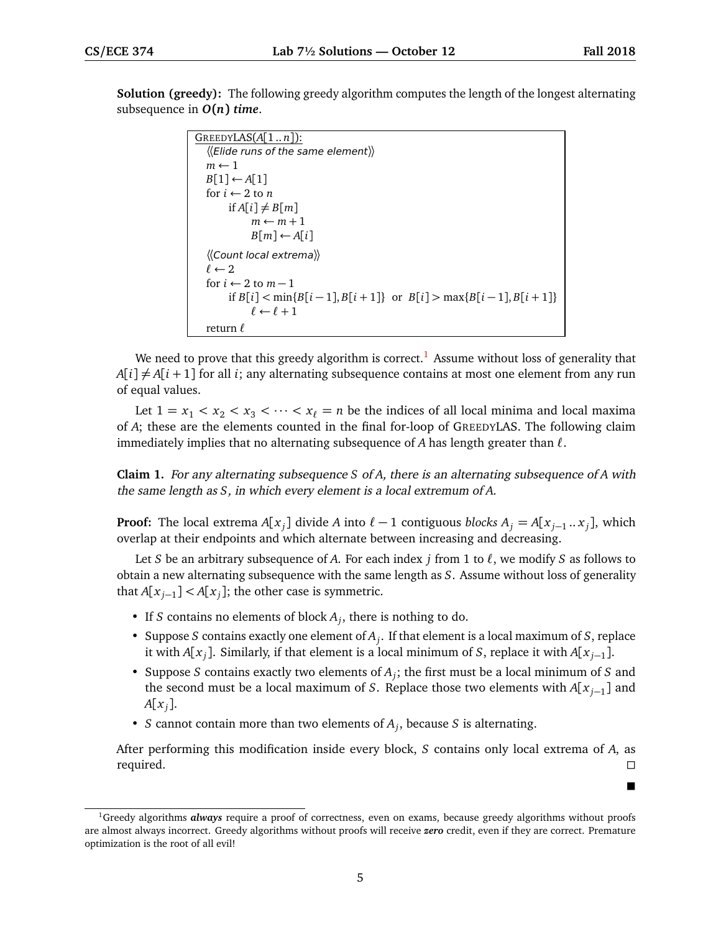$\blacksquare$ 

**Solution (greedy):** The following greedy algorithm computes the length of the longest alternating subsequence in *O***(***n***)** *time*.

```
GREEDYLAS(A[1 .. n]):
 \langle\langle Elide runs of the same element\rangle\ranglem \leftarrow 1B[1] ← A[1]
 for i \leftarrow 2 to n
       if A[i] \neq B[m]m \leftarrow m + 1B[m] \leftarrow A[i]〈〈Count local extrema〉〉
 \ell \leftarrow 2for i \leftarrow 2 to m-1if B[i] < min{B[i − 1], B[i + 1]} or B[i] > max{B[i − 1], B[i + 1]}
             \ell \leftarrow \ell + 1return `
```
We need to prove that this greedy algorithm is correct.<sup>[1](#page-4-0)</sup> Assume without loss of generality that  $A[i] \neq A[i+1]$  for all *i*; any alternating subsequence contains at most one element from any run of equal values.

Let  $1 = x_1 < x_2 < x_3 < \cdots < x_\ell = n$  be the indices of all local minima and local maxima of *A*; these are the elements counted in the final for-loop of GREEDYLAS. The following claim immediately implies that no alternating subsequence of  $A$  has length greater than  $\ell$ .

**Claim 1.** For any alternating subsequence *S* of *A*, there is an alternating subsequence of *A* with the same length as *S*, in which every element is a local extremum of *A*.

**Proof:** The local extrema *A*[ $x_j$ ] divide *A* into  $\ell - 1$  contiguous *blocks*  $A_j = A[x_{j-1} \dots x_j]$ , which overlap at their endpoints and which alternate between increasing and decreasing.

Let *S* be an arbitrary subsequence of *A*. For each index *j* from 1 to  $\ell$ , we modify *S* as follows to obtain a new alternating subsequence with the same length as *S*. Assume without loss of generality that  $A[x_{j-1}] < A[x_j]$ ; the other case is symmetric.

- If *S* contains no elements of block  $A_j$ , there is nothing to do.
- Suppose *S* contains exactly one element of *A<sup>j</sup>* . If that element is a local maximum of *S*, replace it with *A*[ $x_j$ ]. Similarly, if that element is a local minimum of *S*, replace it with *A*[ $x_{j-1}$ ].
- Suppose *S* contains exactly two elements of *A<sup>j</sup>* ; the first must be a local minimum of *S* and the second must be a local maximum of *S*. Replace those two elements with *A*[*x <sup>j</sup>*−<sup>1</sup> ] and *A*[*x <sup>j</sup>* ].
- *S* cannot contain more than two elements of *A<sup>j</sup>* , because *S* is alternating.

After performing this modification inside every block, *S* contains only local extrema of *A*, as required.

<span id="page-4-0"></span><sup>1</sup>Greedy algorithms *always* require a proof of correctness, even on exams, because greedy algorithms without proofs are almost always incorrect. Greedy algorithms without proofs will receive *zero* credit, even if they are correct. Premature optimization is the root of all evil!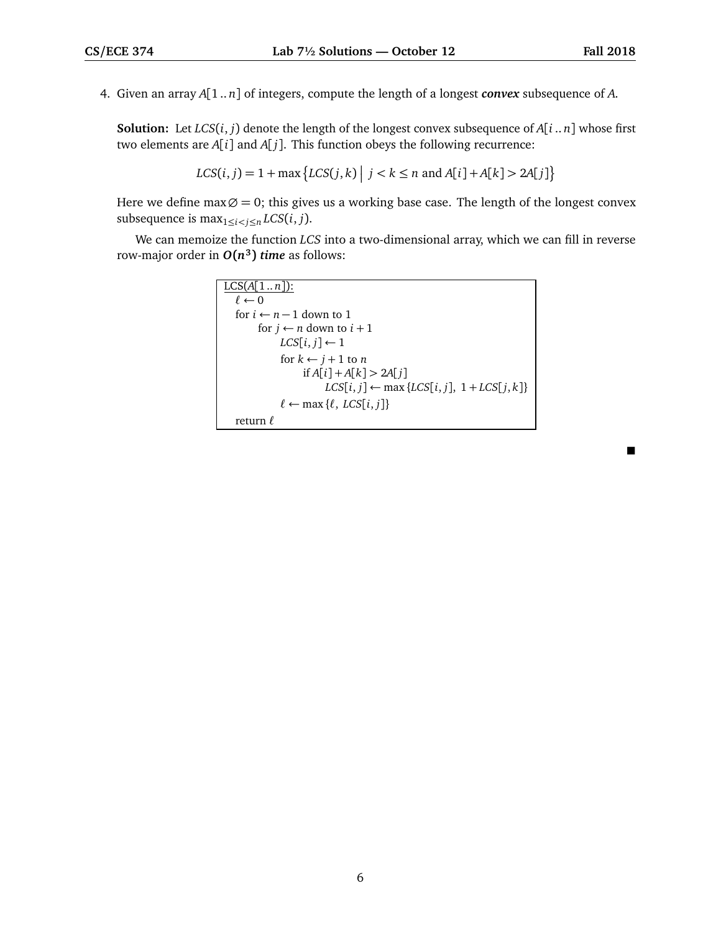4. Given an array *A*[1 .. *n*] of integers, compute the length of a longest *convex* subsequence of *A*.

**Solution:** Let  $LCS(i, j)$  denote the length of the longest convex subsequence of  $A[i..n]$  whose first two elements are *A*[*i*] and *A*[ *j*]. This function obeys the following recurrence:

$$
LCS(i, j) = 1 + \max\left\{LCS(j, k) \mid j < k \le n \text{ and } A[i] + A[k] > 2A[j]\right\}
$$

Here we define max $\emptyset = 0$ ; this gives us a working base case. The length of the longest convex subsequence is  $\max_{1 \leq i < j \leq n} LCS(i, j)$ .

We can memoize the function *LCS* into a two-dimensional array, which we can fill in reverse row-major order in *O***(***n* **3 )** *time* as follows:

```
LCS(A[1..n]):
 \ell \leftarrow 0for i \leftarrow n - 1 down to 1
       for j \leftarrow n down to i + 1LCS[i, j] \leftarrow 1for k \leftarrow j + 1 to n
                   if A[i] + A[k] > 2A[ j]
                         LCS[i, j] ← max {LCS[i, j]}, 1 + LCS[j, k]}
             \ell \leftarrow \max{\{\ell, LCS[i, j]\}}return \ell
```
■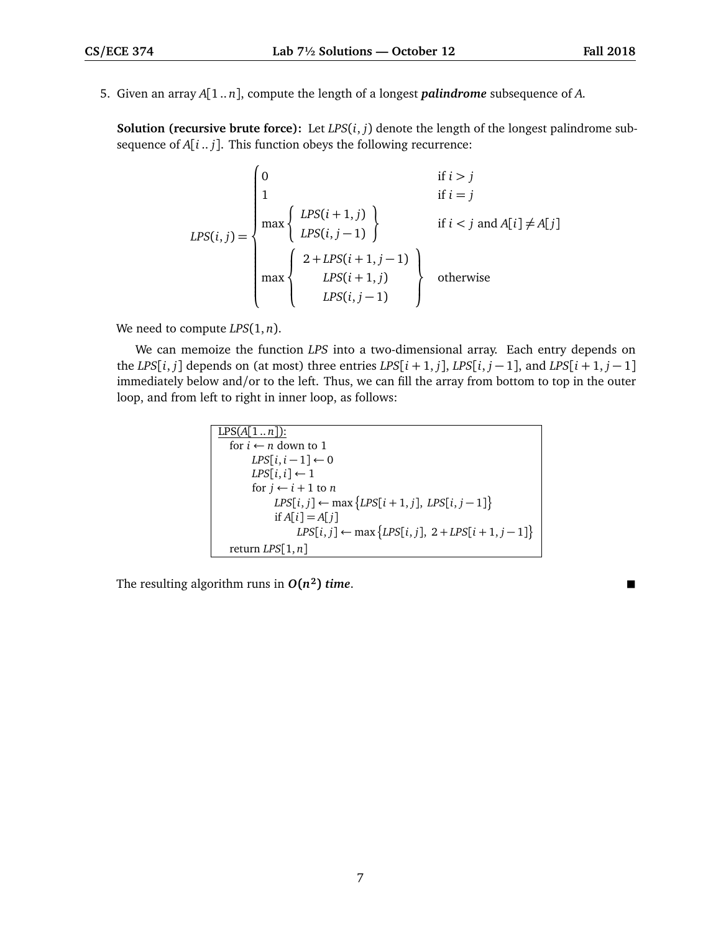5. Given an array *A*[1 .. *n*], compute the length of a longest *palindrome* subsequence of *A*.

**Solution (recursive brute force):** Let *LPS*(*i*, *j*) denote the length of the longest palindrome subsequence of *A*[*i* .. *j*]. This function obeys the following recurrence:

$$
LPS(i,j) = \begin{cases} 0 & \text{if } i > j \\ 1 & \text{if } i = j \\ \max \left\{ \begin{array}{ll} LPS(i+1,j) \\ LPS(i,j-1) \end{array} \right\} & \text{if } i < j \text{ and } A[i] \neq A[j] \\ 2 + LPS(i+1,j-1) \\ \max \left\{ \begin{array}{ll} 2 + LPS(i+1,j) \\ LPS(i+1,j) \\ LPS(i,j-1) \end{array} \right\} & \text{otherwise} \end{cases}
$$

We need to compute *LPS*(1, *n*).

We can memoize the function *LPS* into a two-dimensional array. Each entry depends on the *LPS* $[i, j]$  depends on (at most) three entries *LPS* $[i+1, j]$ , *LPS* $[i, j-1]$ , and *LPS* $[i+1, j-1]$ immediately below and/or to the left. Thus, we can fill the array from bottom to top in the outer loop, and from left to right in inner loop, as follows:

```
LPS(A[1..n]):
for i \leftarrow n down to 1
     LPS[i, i-1] ← 0
     LPS[i, i] \leftarrow 1for j \leftarrow i + 1 to n
           LPS[i, j] ← max {LPS[i + 1, j]}, LPS[i, j-1]if A[i] = A[j]LPS[i, j] ← max {LPS[i, j], 2 + LPS[i + 1, j - 1]}return LPS[1, n]
```
The resulting algorithm runs in  $O(n^2)$  time.